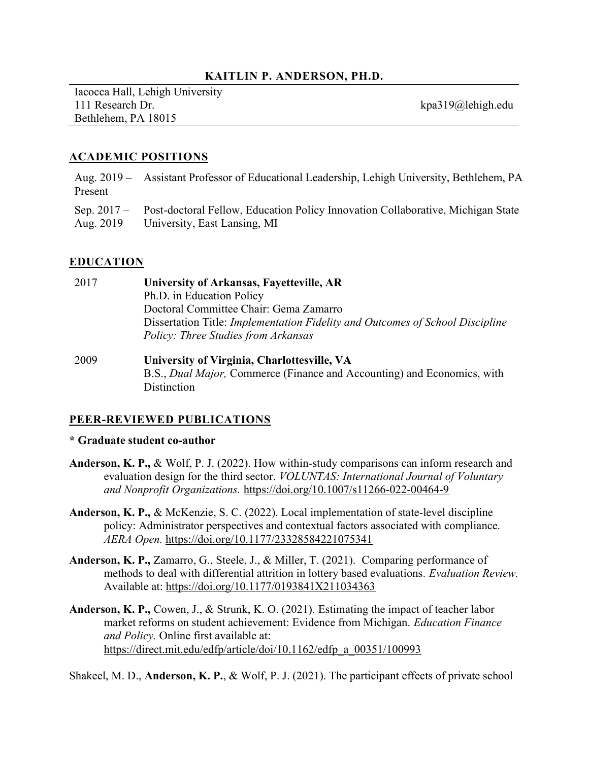## KAITLIN P. ANDERSON, PH.D.

Iacocca Hall, Lehigh University 111 Research Dr. kpa319@lehigh.edu Bethlehem, PA 18015

## ACADEMIC POSITIONS

- Aug. 2019 Assistant Professor of Educational Leadership, Lehigh University, Bethlehem, PA Present
- Sep. 2017 Aug. 2019 Post-doctoral Fellow, Education Policy Innovation Collaborative, Michigan State University, East Lansing, MI

## EDUCATION

- 2017 University of Arkansas, Fayetteville, AR Ph.D. in Education Policy Doctoral Committee Chair: Gema Zamarro Dissertation Title: Implementation Fidelity and Outcomes of School Discipline Policy: Three Studies from Arkansas
- 2009 University of Virginia, Charlottesville, VA B.S., Dual Major, Commerce (Finance and Accounting) and Economics, with **Distinction**

## PEER-REVIEWED PUBLICATIONS

- \* Graduate student co-author
- Anderson, K. P., & Wolf, P. J. (2022). How within-study comparisons can inform research and evaluation design for the third sector. *VOLUNTAS: International Journal of Voluntary* and Nonprofit Organizations. https://doi.org/10.1007/s11266-022-00464-9
- Anderson, K. P., & McKenzie, S. C. (2022). Local implementation of state-level discipline policy: Administrator perspectives and contextual factors associated with compliance. AERA Open. https://doi.org/10.1177/23328584221075341
- Anderson, K. P., Zamarro, G., Steele, J., & Miller, T. (2021). Comparing performance of methods to deal with differential attrition in lottery based evaluations. Evaluation Review. Available at: https://doi.org/10.1177/0193841X211034363
- Anderson, K. P., Cowen, J., & Strunk, K. O. (2021). Estimating the impact of teacher labor market reforms on student achievement: Evidence from Michigan. Education Finance and Policy. Online first available at: https://direct.mit.edu/edfp/article/doi/10.1162/edfp\_a\_00351/100993

Shakeel, M. D., Anderson, K. P., & Wolf, P. J. (2021). The participant effects of private school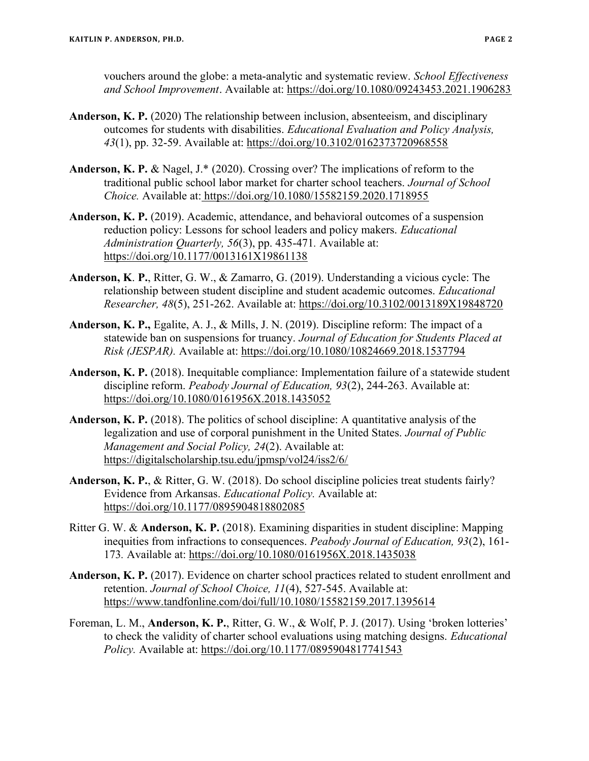vouchers around the globe: a meta-analytic and systematic review. School Effectiveness and School Improvement. Available at: https://doi.org/10.1080/09243453.2021.1906283

- Anderson, K. P. (2020) The relationship between inclusion, absenteeism, and disciplinary outcomes for students with disabilities. Educational Evaluation and Policy Analysis, 43(1), pp. 32-59. Available at: https://doi.org/10.3102/0162373720968558
- Anderson, K. P. & Nagel, J.\* (2020). Crossing over? The implications of reform to the traditional public school labor market for charter school teachers. Journal of School Choice. Available at: https://doi.org/10.1080/15582159.2020.1718955
- Anderson, K. P. (2019). Academic, attendance, and behavioral outcomes of a suspension reduction policy: Lessons for school leaders and policy makers. *Educational* Administration Quarterly, 56(3), pp. 435-471. Available at: https://doi.org/10.1177/0013161X19861138
- Anderson, K. P., Ritter, G. W., & Zamarro, G. (2019). Understanding a vicious cycle: The relationship between student discipline and student academic outcomes. Educational Researcher, 48(5), 251-262. Available at: https://doi.org/10.3102/0013189X19848720
- Anderson, K. P., Egalite, A. J., & Mills, J. N. (2019). Discipline reform: The impact of a statewide ban on suspensions for truancy. Journal of Education for Students Placed at Risk (JESPAR). Available at: https://doi.org/10.1080/10824669.2018.1537794
- Anderson, K. P. (2018). Inequitable compliance: Implementation failure of a statewide student discipline reform. Peabody Journal of Education, 93(2), 244-263. Available at: https://doi.org/10.1080/0161956X.2018.1435052
- Anderson, K. P. (2018). The politics of school discipline: A quantitative analysis of the legalization and use of corporal punishment in the United States. Journal of Public Management and Social Policy, 24(2). Available at: https://digitalscholarship.tsu.edu/jpmsp/vol24/iss2/6/
- Anderson, K. P., & Ritter, G. W. (2018). Do school discipline policies treat students fairly? Evidence from Arkansas. Educational Policy. Available at: https://doi.org/10.1177/0895904818802085
- Ritter G. W. & Anderson, K. P. (2018). Examining disparities in student discipline: Mapping inequities from infractions to consequences. Peabody Journal of Education, 93(2), 161- 173. Available at: https://doi.org/10.1080/0161956X.2018.1435038
- Anderson, K. P. (2017). Evidence on charter school practices related to student enrollment and retention. Journal of School Choice, 11(4), 527-545. Available at: https://www.tandfonline.com/doi/full/10.1080/15582159.2017.1395614
- Foreman, L. M., Anderson, K. P., Ritter, G. W., & Wolf, P. J. (2017). Using 'broken lotteries' to check the validity of charter school evaluations using matching designs. *Educational* Policy. Available at: https://doi.org/10.1177/0895904817741543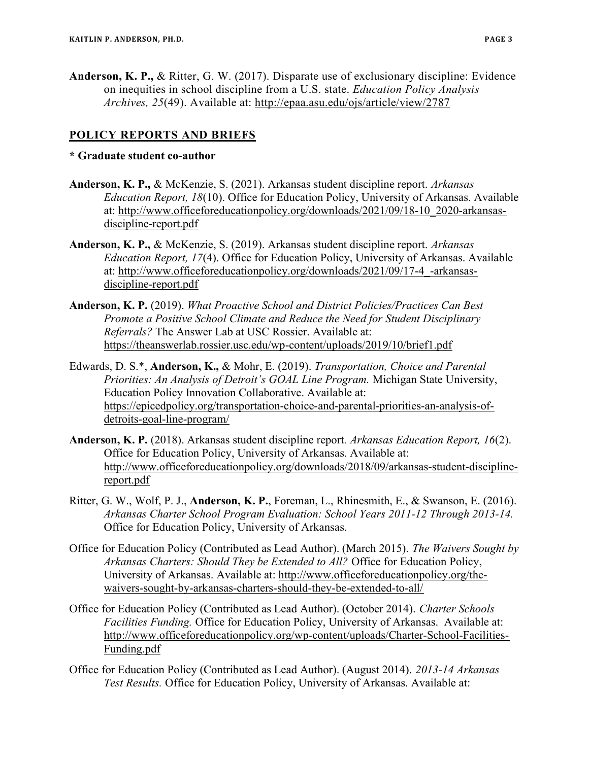Anderson, K. P., & Ritter, G. W. (2017). Disparate use of exclusionary discipline: Evidence on inequities in school discipline from a U.S. state. Education Policy Analysis Archives, 25(49). Available at: http://epaa.asu.edu/ojs/article/view/2787

## POLICY REPORTS AND BRIEFS

#### \* Graduate student co-author

- Anderson, K. P., & McKenzie, S. (2021). Arkansas student discipline report. Arkansas Education Report, 18(10). Office for Education Policy, University of Arkansas. Available at: http://www.officeforeducationpolicy.org/downloads/2021/09/18-10\_2020-arkansasdiscipline-report.pdf
- Anderson, K. P., & McKenzie, S. (2019). Arkansas student discipline report. Arkansas Education Report, 17(4). Office for Education Policy, University of Arkansas. Available at: http://www.officeforeducationpolicy.org/downloads/2021/09/17-4\_-arkansasdiscipline-report.pdf
- Anderson, K. P. (2019). What Proactive School and District Policies/Practices Can Best Promote a Positive School Climate and Reduce the Need for Student Disciplinary Referrals? The Answer Lab at USC Rossier. Available at: https://theanswerlab.rossier.usc.edu/wp-content/uploads/2019/10/brief1.pdf
- Edwards, D. S.\*, Anderson, K., & Mohr, E. (2019). Transportation, Choice and Parental Priorities: An Analysis of Detroit's GOAL Line Program. Michigan State University, Education Policy Innovation Collaborative. Available at: https://epicedpolicy.org/transportation-choice-and-parental-priorities-an-analysis-ofdetroits-goal-line-program/
- Anderson, K. P. (2018). Arkansas student discipline report. Arkansas Education Report, 16(2). Office for Education Policy, University of Arkansas. Available at: http://www.officeforeducationpolicy.org/downloads/2018/09/arkansas-student-disciplinereport.pdf
- Ritter, G. W., Wolf, P. J., Anderson, K. P., Foreman, L., Rhinesmith, E., & Swanson, E. (2016). Arkansas Charter School Program Evaluation: School Years 2011-12 Through 2013-14. Office for Education Policy, University of Arkansas.
- Office for Education Policy (Contributed as Lead Author). (March 2015). The Waivers Sought by Arkansas Charters: Should They be Extended to All? Office for Education Policy, University of Arkansas. Available at: http://www.officeforeducationpolicy.org/thewaivers-sought-by-arkansas-charters-should-they-be-extended-to-all/
- Office for Education Policy (Contributed as Lead Author). (October 2014). Charter Schools Facilities Funding. Office for Education Policy, University of Arkansas. Available at: http://www.officeforeducationpolicy.org/wp-content/uploads/Charter-School-Facilities-Funding.pdf
- Office for Education Policy (Contributed as Lead Author). (August 2014). 2013-14 Arkansas Test Results. Office for Education Policy, University of Arkansas. Available at: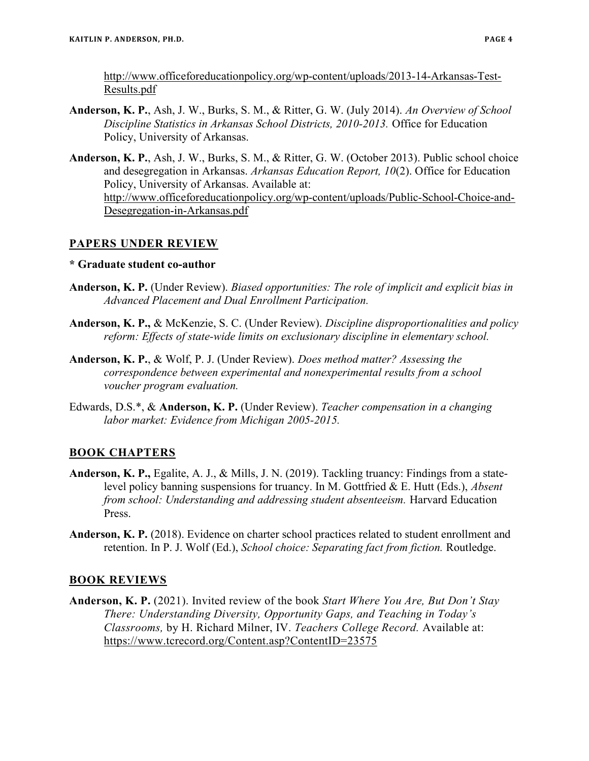http://www.officeforeducationpolicy.org/wp-content/uploads/2013-14-Arkansas-Test-Results.pdf

- Anderson, K. P., Ash, J. W., Burks, S. M., & Ritter, G. W. (July 2014). An Overview of School Discipline Statistics in Arkansas School Districts, 2010-2013. Office for Education Policy, University of Arkansas.
- Anderson, K. P., Ash, J. W., Burks, S. M., & Ritter, G. W. (October 2013). Public school choice and desegregation in Arkansas. Arkansas Education Report, 10(2). Office for Education Policy, University of Arkansas. Available at: http://www.officeforeducationpolicy.org/wp-content/uploads/Public-School-Choice-and-Desegregation-in-Arkansas.pdf

## PAPERS UNDER REVIEW

#### \* Graduate student co-author

- Anderson, K. P. (Under Review). Biased opportunities: The role of implicit and explicit bias in Advanced Placement and Dual Enrollment Participation.
- Anderson, K. P., & McKenzie, S. C. (Under Review). Discipline disproportionalities and policy reform: Effects of state-wide limits on exclusionary discipline in elementary school.
- Anderson, K. P., & Wolf, P. J. (Under Review). Does method matter? Assessing the correspondence between experimental and nonexperimental results from a school voucher program evaluation.
- Edwards, D.S.\*, & Anderson, K. P. (Under Review). Teacher compensation in a changing labor market: Evidence from Michigan 2005-2015.

## BOOK CHAPTERS

- Anderson, K. P., Egalite, A. J., & Mills, J. N. (2019). Tackling truancy: Findings from a statelevel policy banning suspensions for truancy. In M. Gottfried & E. Hutt (Eds.), Absent from school: Understanding and addressing student absenteeism. Harvard Education Press.
- Anderson, K. P. (2018). Evidence on charter school practices related to student enrollment and retention. In P. J. Wolf (Ed.), School choice: Separating fact from fiction. Routledge.

#### BOOK REVIEWS

Anderson, K. P. (2021). Invited review of the book Start Where You Are, But Don't Stay There: Understanding Diversity, Opportunity Gaps, and Teaching in Today's Classrooms, by H. Richard Milner, IV. Teachers College Record. Available at: https://www.tcrecord.org/Content.asp?ContentID=23575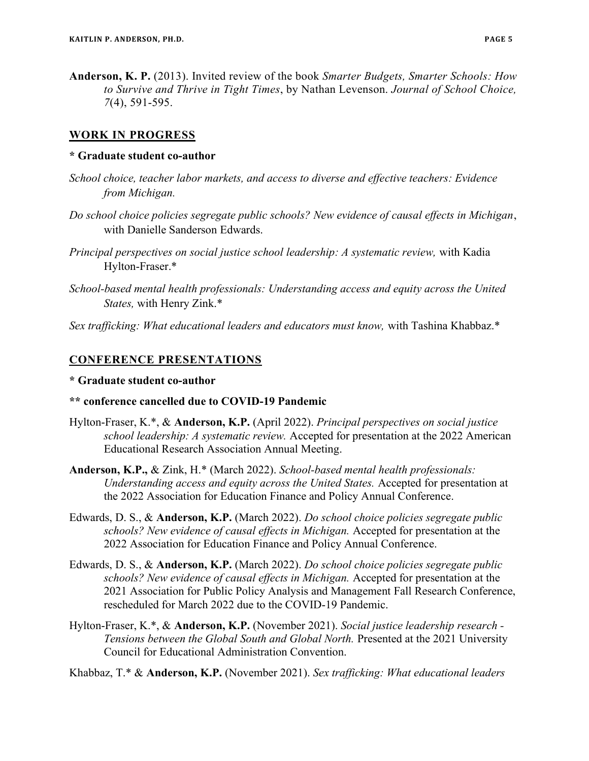Anderson, K. P. (2013). Invited review of the book Smarter Budgets, Smarter Schools: How to Survive and Thrive in Tight Times, by Nathan Levenson. Journal of School Choice, 7(4), 591-595.

## WORK IN PROGRESS

#### \* Graduate student co-author

- School choice, teacher labor markets, and access to diverse and effective teachers: Evidence from Michigan.
- Do school choice policies segregate public schools? New evidence of causal effects in Michigan, with Danielle Sanderson Edwards.
- Principal perspectives on social justice school leadership: A systematic review, with Kadia Hylton-Fraser.\*
- School-based mental health professionals: Understanding access and equity across the United States, with Henry Zink.\*
- Sex trafficking: What educational leaders and educators must know, with Tashina Khabbaz.\*

## CONFERENCE PRESENTATIONS

#### \* Graduate student co-author

## \*\* conference cancelled due to COVID-19 Pandemic

- Hylton-Fraser, K.\*, & Anderson, K.P. (April 2022). Principal perspectives on social justice school leadership: A systematic review. Accepted for presentation at the 2022 American Educational Research Association Annual Meeting.
- Anderson, K.P., & Zink, H.\* (March 2022). School-based mental health professionals: Understanding access and equity across the United States. Accepted for presentation at the 2022 Association for Education Finance and Policy Annual Conference.
- Edwards, D. S., & Anderson, K.P. (March 2022). Do school choice policies segregate public schools? New evidence of causal effects in Michigan. Accepted for presentation at the 2022 Association for Education Finance and Policy Annual Conference.
- Edwards, D. S., & Anderson, K.P. (March 2022). Do school choice policies segregate public schools? New evidence of causal effects in Michigan. Accepted for presentation at the 2021 Association for Public Policy Analysis and Management Fall Research Conference, rescheduled for March 2022 due to the COVID-19 Pandemic.
- Hylton-Fraser, K.\*, & Anderson, K.P. (November 2021). Social justice leadership research Tensions between the Global South and Global North. Presented at the 2021 University Council for Educational Administration Convention.

Khabbaz, T.\* & Anderson, K.P. (November 2021). Sex trafficking: What educational leaders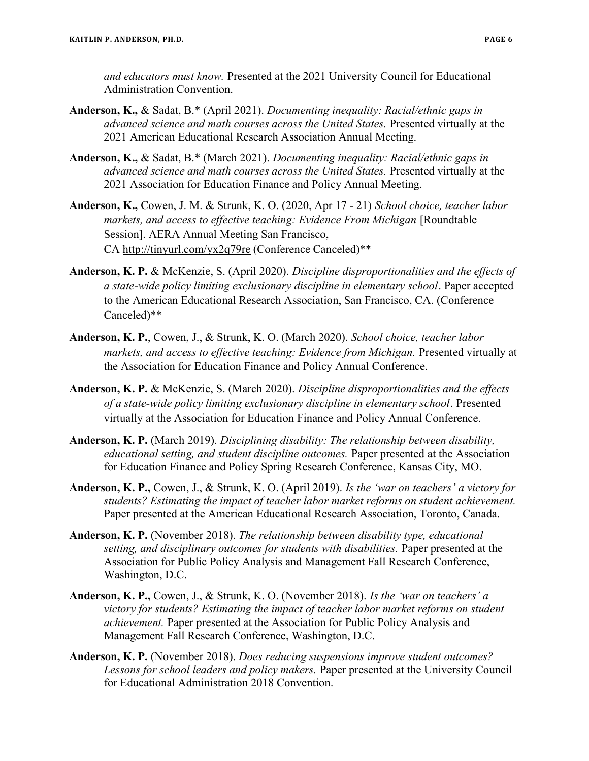and educators must know. Presented at the 2021 University Council for Educational Administration Convention.

- Anderson, K., & Sadat, B.\* (April 2021). Documenting inequality: Racial/ethnic gaps in advanced science and math courses across the United States. Presented virtually at the 2021 American Educational Research Association Annual Meeting.
- Anderson, K., & Sadat, B.\* (March 2021). Documenting inequality: Racial/ethnic gaps in advanced science and math courses across the United States. Presented virtually at the 2021 Association for Education Finance and Policy Annual Meeting.
- Anderson, K., Cowen, J. M. & Strunk, K. O. (2020, Apr 17 21) School choice, teacher labor markets, and access to effective teaching: Evidence From Michigan [Roundtable Session]. AERA Annual Meeting San Francisco, CA http://tinyurl.com/yx2q79re (Conference Canceled)\*\*
- Anderson, K. P. & McKenzie, S. (April 2020). Discipline disproportionalities and the effects of a state-wide policy limiting exclusionary discipline in elementary school. Paper accepted to the American Educational Research Association, San Francisco, CA. (Conference Canceled)\*\*
- Anderson, K. P., Cowen, J., & Strunk, K. O. (March 2020). School choice, teacher labor markets, and access to effective teaching: Evidence from Michigan. Presented virtually at the Association for Education Finance and Policy Annual Conference.
- Anderson, K. P. & McKenzie, S. (March 2020). Discipline disproportionalities and the effects of a state-wide policy limiting exclusionary discipline in elementary school. Presented virtually at the Association for Education Finance and Policy Annual Conference.
- Anderson, K. P. (March 2019). Disciplining disability: The relationship between disability, educational setting, and student discipline outcomes. Paper presented at the Association for Education Finance and Policy Spring Research Conference, Kansas City, MO.
- Anderson, K. P., Cowen, J., & Strunk, K. O. (April 2019). Is the 'war on teachers' a victory for students? Estimating the impact of teacher labor market reforms on student achievement. Paper presented at the American Educational Research Association, Toronto, Canada.
- Anderson, K. P. (November 2018). The relationship between disability type, educational setting, and disciplinary outcomes for students with disabilities. Paper presented at the Association for Public Policy Analysis and Management Fall Research Conference, Washington, D.C.
- Anderson, K. P., Cowen, J., & Strunk, K. O. (November 2018). Is the 'war on teachers' a victory for students? Estimating the impact of teacher labor market reforms on student achievement. Paper presented at the Association for Public Policy Analysis and Management Fall Research Conference, Washington, D.C.
- Anderson, K. P. (November 2018). Does reducing suspensions improve student outcomes? Lessons for school leaders and policy makers. Paper presented at the University Council for Educational Administration 2018 Convention.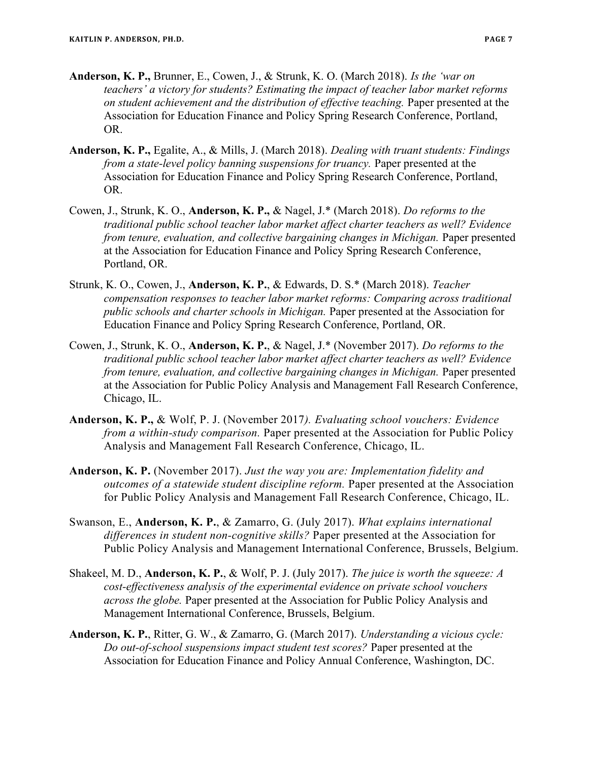- Anderson, K. P., Brunner, E., Cowen, J., & Strunk, K. O. (March 2018). Is the 'war on teachers' a victory for students? Estimating the impact of teacher labor market reforms on student achievement and the distribution of effective teaching. Paper presented at the Association for Education Finance and Policy Spring Research Conference, Portland, OR.
- Anderson, K. P., Egalite, A., & Mills, J. (March 2018). *Dealing with truant students: Findings* from a state-level policy banning suspensions for truancy. Paper presented at the Association for Education Finance and Policy Spring Research Conference, Portland, OR.
- Cowen, J., Strunk, K. O., Anderson, K. P., & Nagel, J.\* (March 2018). Do reforms to the traditional public school teacher labor market affect charter teachers as well? Evidence from tenure, evaluation, and collective bargaining changes in Michigan. Paper presented at the Association for Education Finance and Policy Spring Research Conference, Portland, OR.
- Strunk, K. O., Cowen, J., Anderson, K. P., & Edwards, D. S.\* (March 2018). Teacher compensation responses to teacher labor market reforms: Comparing across traditional public schools and charter schools in Michigan. Paper presented at the Association for Education Finance and Policy Spring Research Conference, Portland, OR.
- Cowen, J., Strunk, K. O., Anderson, K. P., & Nagel, J.\* (November 2017). Do reforms to the traditional public school teacher labor market affect charter teachers as well? Evidence from tenure, evaluation, and collective bargaining changes in Michigan. Paper presented at the Association for Public Policy Analysis and Management Fall Research Conference, Chicago, IL.
- Anderson, K. P., & Wolf, P. J. (November 2017). Evaluating school vouchers: Evidence from a within-study comparison. Paper presented at the Association for Public Policy Analysis and Management Fall Research Conference, Chicago, IL.
- Anderson, K. P. (November 2017). Just the way you are: Implementation fidelity and outcomes of a statewide student discipline reform. Paper presented at the Association for Public Policy Analysis and Management Fall Research Conference, Chicago, IL.
- Swanson, E., Anderson, K. P., & Zamarro, G. (July 2017). What explains international differences in student non-cognitive skills? Paper presented at the Association for Public Policy Analysis and Management International Conference, Brussels, Belgium.
- Shakeel, M. D., Anderson, K. P., & Wolf, P. J. (July 2017). The juice is worth the squeeze: A cost-effectiveness analysis of the experimental evidence on private school vouchers across the globe. Paper presented at the Association for Public Policy Analysis and Management International Conference, Brussels, Belgium.
- Anderson, K. P., Ritter, G. W., & Zamarro, G. (March 2017). Understanding a vicious cycle: Do out-of-school suspensions impact student test scores? Paper presented at the Association for Education Finance and Policy Annual Conference, Washington, DC.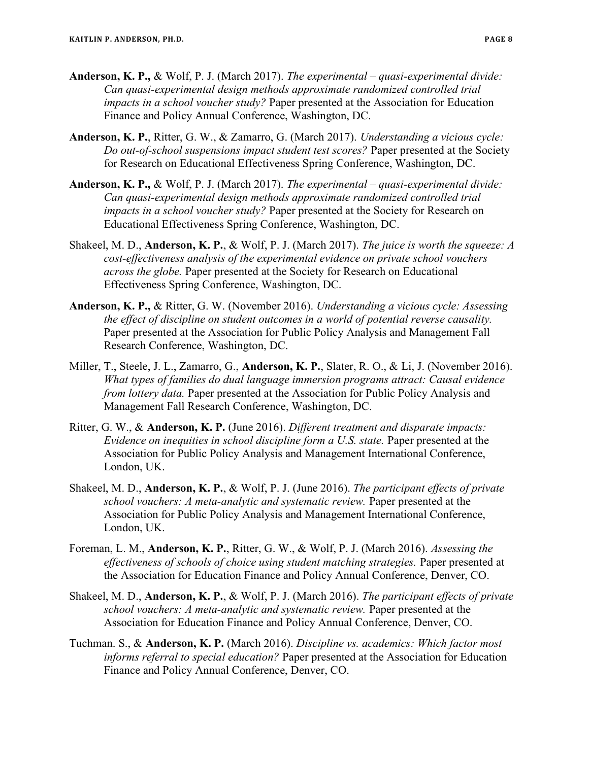- Anderson, K. P., & Wolf, P. J. (March 2017). The experimental quasi-experimental divide: Can quasi-experimental design methods approximate randomized controlled trial impacts in a school voucher study? Paper presented at the Association for Education Finance and Policy Annual Conference, Washington, DC.
- Anderson, K. P., Ritter, G. W., & Zamarro, G. (March 2017). Understanding a vicious cycle: Do out-of-school suspensions impact student test scores? Paper presented at the Society for Research on Educational Effectiveness Spring Conference, Washington, DC.
- Anderson, K. P., & Wolf, P. J. (March 2017). The experimental quasi-experimental divide: Can quasi-experimental design methods approximate randomized controlled trial impacts in a school voucher study? Paper presented at the Society for Research on Educational Effectiveness Spring Conference, Washington, DC.
- Shakeel, M. D., Anderson, K. P., & Wolf, P. J. (March 2017). The juice is worth the squeeze:  $A$ cost-effectiveness analysis of the experimental evidence on private school vouchers across the globe. Paper presented at the Society for Research on Educational Effectiveness Spring Conference, Washington, DC.
- Anderson, K. P., & Ritter, G. W. (November 2016). Understanding a vicious cycle: Assessing the effect of discipline on student outcomes in a world of potential reverse causality. Paper presented at the Association for Public Policy Analysis and Management Fall Research Conference, Washington, DC.
- Miller, T., Steele, J. L., Zamarro, G., Anderson, K. P., Slater, R. O., & Li, J. (November 2016). What types of families do dual language immersion programs attract: Causal evidence from lottery data. Paper presented at the Association for Public Policy Analysis and Management Fall Research Conference, Washington, DC.
- Ritter, G. W., & Anderson, K. P. (June 2016). Different treatment and disparate impacts: Evidence on inequities in school discipline form a U.S. state. Paper presented at the Association for Public Policy Analysis and Management International Conference, London, UK.
- Shakeel, M. D., Anderson, K. P., & Wolf, P. J. (June 2016). The participant effects of private school vouchers: A meta-analytic and systematic review. Paper presented at the Association for Public Policy Analysis and Management International Conference, London, UK.
- Foreman, L. M., Anderson, K. P., Ritter, G. W., & Wolf, P. J. (March 2016). Assessing the effectiveness of schools of choice using student matching strategies. Paper presented at the Association for Education Finance and Policy Annual Conference, Denver, CO.
- Shakeel, M. D., **Anderson, K. P.**, & Wolf, P. J. (March 2016). The participant effects of private school vouchers: A meta-analytic and systematic review. Paper presented at the Association for Education Finance and Policy Annual Conference, Denver, CO.
- Tuchman. S., & Anderson, K. P. (March 2016). Discipline vs. academics: Which factor most informs referral to special education? Paper presented at the Association for Education Finance and Policy Annual Conference, Denver, CO.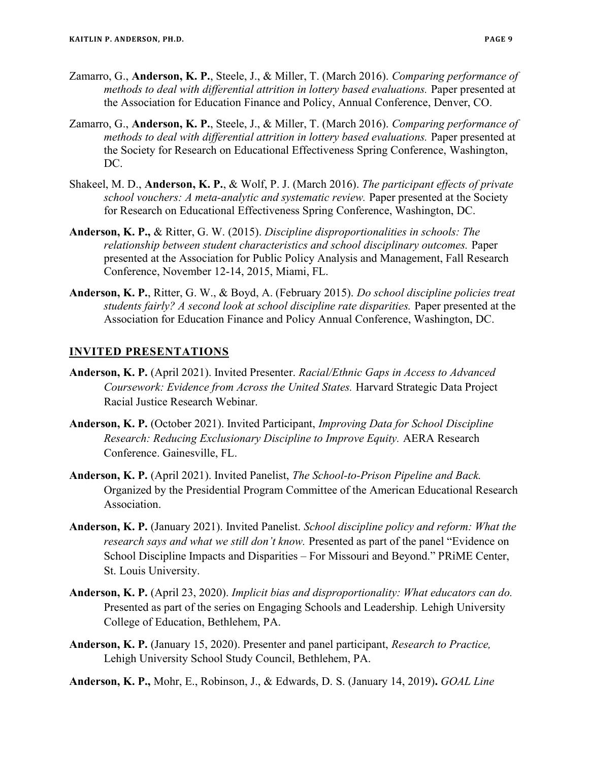- Zamarro, G., Anderson, K. P., Steele, J., & Miller, T. (March 2016). Comparing performance of methods to deal with differential attrition in lottery based evaluations. Paper presented at the Association for Education Finance and Policy, Annual Conference, Denver, CO.
- Zamarro, G., Anderson, K. P., Steele, J., & Miller, T. (March 2016). Comparing performance of methods to deal with differential attrition in lottery based evaluations. Paper presented at the Society for Research on Educational Effectiveness Spring Conference, Washington, DC.
- Shakeel, M. D., Anderson, K. P., & Wolf, P. J. (March 2016). The participant effects of private school vouchers: A meta-analytic and systematic review. Paper presented at the Society for Research on Educational Effectiveness Spring Conference, Washington, DC.
- Anderson, K. P., & Ritter, G. W. (2015). Discipline disproportionalities in schools: The relationship between student characteristics and school disciplinary outcomes. Paper presented at the Association for Public Policy Analysis and Management, Fall Research Conference, November 12-14, 2015, Miami, FL.
- Anderson, K. P., Ritter, G. W., & Boyd, A. (February 2015). Do school discipline policies treat students fairly? A second look at school discipline rate disparities. Paper presented at the Association for Education Finance and Policy Annual Conference, Washington, DC.

## INVITED PRESENTATIONS

- Anderson, K. P. (April 2021). Invited Presenter. Racial/Ethnic Gaps in Access to Advanced Coursework: Evidence from Across the United States. Harvard Strategic Data Project Racial Justice Research Webinar.
- Anderson, K. P. (October 2021). Invited Participant, Improving Data for School Discipline Research: Reducing Exclusionary Discipline to Improve Equity. AERA Research Conference. Gainesville, FL.
- Anderson, K. P. (April 2021). Invited Panelist, The School-to-Prison Pipeline and Back. Organized by the Presidential Program Committee of the American Educational Research Association.
- Anderson, K. P. (January 2021). Invited Panelist. School discipline policy and reform: What the research says and what we still don't know. Presented as part of the panel "Evidence on School Discipline Impacts and Disparities – For Missouri and Beyond." PRiME Center, St. Louis University.
- Anderson, K. P. (April 23, 2020). Implicit bias and disproportionality: What educators can do. Presented as part of the series on Engaging Schools and Leadership. Lehigh University College of Education, Bethlehem, PA.
- Anderson, K. P. (January 15, 2020). Presenter and panel participant, Research to Practice, Lehigh University School Study Council, Bethlehem, PA.
- Anderson, K. P., Mohr, E., Robinson, J., & Edwards, D. S. (January 14, 2019). GOAL Line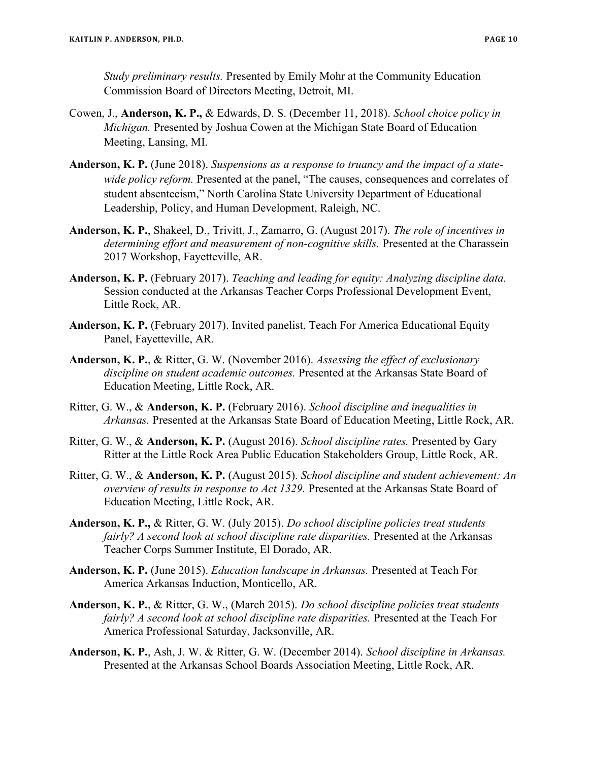Study preliminary results. Presented by Emily Mohr at the Community Education Commission Board of Directors Meeting, Detroit, MI.

- Cowen, J., Anderson, K. P., & Edwards, D. S. (December 11, 2018). School choice policy in Michigan. Presented by Joshua Cowen at the Michigan State Board of Education Meeting, Lansing, MI.
- Anderson, K. P. (June 2018). Suspensions as a response to truancy and the impact of a statewide policy reform. Presented at the panel, "The causes, consequences and correlates of student absenteeism," North Carolina State University Department of Educational Leadership, Policy, and Human Development, Raleigh, NC.
- Anderson, K. P., Shakeel, D., Trivitt, J., Zamarro, G. (August 2017). The role of incentives in determining effort and measurement of non-cognitive skills. Presented at the Charassein 2017 Workshop, Fayetteville, AR.
- Anderson, K. P. (February 2017). Teaching and leading for equity: Analyzing discipline data. Session conducted at the Arkansas Teacher Corps Professional Development Event, Little Rock, AR.
- Anderson, K. P. (February 2017). Invited panelist, Teach For America Educational Equity Panel, Fayetteville, AR.
- Anderson, K. P., & Ritter, G. W. (November 2016). Assessing the effect of exclusionary discipline on student academic outcomes. Presented at the Arkansas State Board of Education Meeting, Little Rock, AR.
- Ritter, G. W., & Anderson, K. P. (February 2016). School discipline and inequalities in Arkansas. Presented at the Arkansas State Board of Education Meeting, Little Rock, AR.
- Ritter, G. W., & Anderson, K. P. (August 2016). School discipline rates. Presented by Gary Ritter at the Little Rock Area Public Education Stakeholders Group, Little Rock, AR.
- Ritter, G. W., & Anderson, K. P. (August 2015). School discipline and student achievement: An overview of results in response to Act 1329. Presented at the Arkansas State Board of Education Meeting, Little Rock, AR.
- Anderson, K. P., & Ritter, G. W. (July 2015). Do school discipline policies treat students fairly? A second look at school discipline rate disparities. Presented at the Arkansas Teacher Corps Summer Institute, El Dorado, AR.
- Anderson, K. P. (June 2015). Education landscape in Arkansas. Presented at Teach For America Arkansas Induction, Monticello, AR.
- Anderson, K. P., & Ritter, G. W., (March 2015). Do school discipline policies treat students fairly? A second look at school discipline rate disparities. Presented at the Teach For America Professional Saturday, Jacksonville, AR.
- Anderson, K. P., Ash, J. W. & Ritter, G. W. (December 2014). School discipline in Arkansas. Presented at the Arkansas School Boards Association Meeting, Little Rock, AR.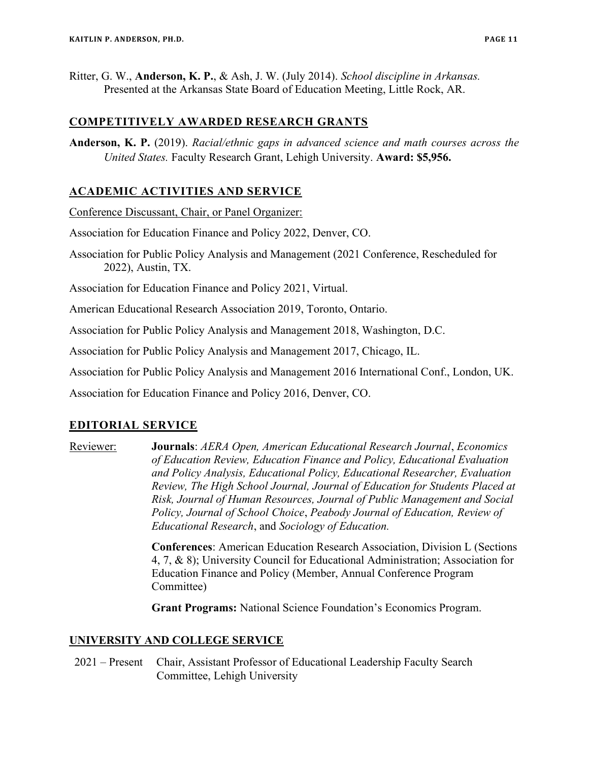Ritter, G. W., Anderson, K. P., & Ash, J. W. (July 2014). School discipline in Arkansas. Presented at the Arkansas State Board of Education Meeting, Little Rock, AR.

## COMPETITIVELY AWARDED RESEARCH GRANTS

Anderson, K. P. (2019). Racial/ethnic gaps in advanced science and math courses across the United States. Faculty Research Grant, Lehigh University. Award: \$5,956.

## ACADEMIC ACTIVITIES AND SERVICE

Conference Discussant, Chair, or Panel Organizer:

Association for Education Finance and Policy 2022, Denver, CO.

Association for Public Policy Analysis and Management (2021 Conference, Rescheduled for 2022), Austin, TX.

Association for Education Finance and Policy 2021, Virtual.

American Educational Research Association 2019, Toronto, Ontario.

Association for Public Policy Analysis and Management 2018, Washington, D.C.

Association for Public Policy Analysis and Management 2017, Chicago, IL.

Association for Public Policy Analysis and Management 2016 International Conf., London, UK.

Association for Education Finance and Policy 2016, Denver, CO.

#### EDITORIAL SERVICE

Reviewer: Journals: AERA Open, American Educational Research Journal, Economics of Education Review, Education Finance and Policy, Educational Evaluation and Policy Analysis, Educational Policy, Educational Researcher, Evaluation Review, The High School Journal, Journal of Education for Students Placed at Risk, Journal of Human Resources, Journal of Public Management and Social Policy, Journal of School Choice, Peabody Journal of Education, Review of Educational Research, and Sociology of Education.

> Conferences: American Education Research Association, Division L (Sections 4, 7, & 8); University Council for Educational Administration; Association for Education Finance and Policy (Member, Annual Conference Program Committee)

Grant Programs: National Science Foundation's Economics Program.

#### UNIVERSITY AND COLLEGE SERVICE

2021 – Present Chair, Assistant Professor of Educational Leadership Faculty Search Committee, Lehigh University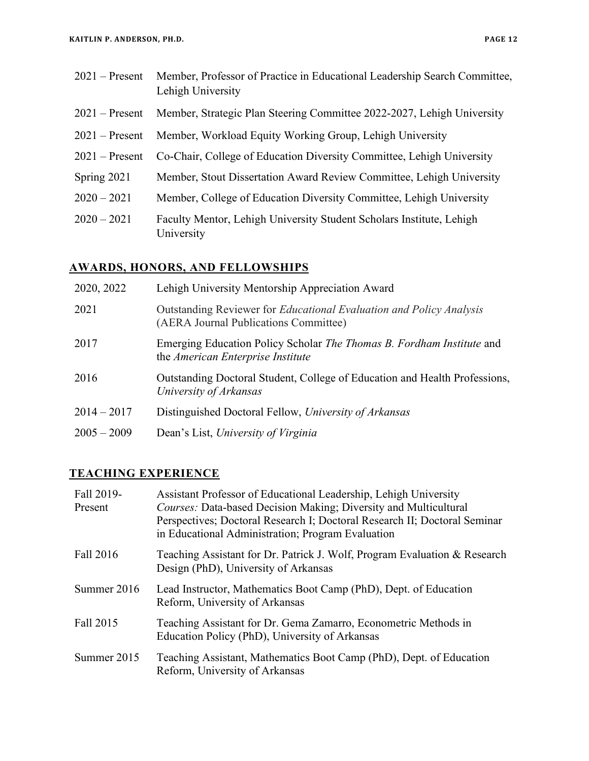| $2021 -$ Present | Member, Professor of Practice in Educational Leadership Search Committee,<br>Lehigh University |
|------------------|------------------------------------------------------------------------------------------------|
| $2021$ – Present | Member, Strategic Plan Steering Committee 2022-2027, Lehigh University                         |
| $2021 -$ Present | Member, Workload Equity Working Group, Lehigh University                                       |
| $2021$ – Present | Co-Chair, College of Education Diversity Committee, Lehigh University                          |
| Spring 2021      | Member, Stout Dissertation Award Review Committee, Lehigh University                           |
| $2020 - 2021$    | Member, College of Education Diversity Committee, Lehigh University                            |
| $2020 - 2021$    | Faculty Mentor, Lehigh University Student Scholars Institute, Lehigh<br>University             |

## AWARDS, HONORS, AND FELLOWSHIPS

| 2020, 2022    | Lehigh University Mentorship Appreciation Award                                                                     |
|---------------|---------------------------------------------------------------------------------------------------------------------|
| 2021          | Outstanding Reviewer for <i>Educational Evaluation and Policy Analysis</i><br>(AERA Journal Publications Committee) |
| 2017          | Emerging Education Policy Scholar The Thomas B. Fordham Institute and<br>the American Enterprise Institute          |
| 2016          | Outstanding Doctoral Student, College of Education and Health Professions,<br>University of Arkansas                |
| $2014 - 2017$ | Distinguished Doctoral Fellow, University of Arkansas                                                               |
| $2005 - 2009$ | Dean's List, University of Virginia                                                                                 |

# TEACHING EXPERIENCE

| Fall 2019-<br>Present | Assistant Professor of Educational Leadership, Lehigh University<br>Courses: Data-based Decision Making; Diversity and Multicultural |
|-----------------------|--------------------------------------------------------------------------------------------------------------------------------------|
|                       | Perspectives; Doctoral Research I; Doctoral Research II; Doctoral Seminar<br>in Educational Administration; Program Evaluation       |
| Fall 2016             | Teaching Assistant for Dr. Patrick J. Wolf, Program Evaluation & Research<br>Design (PhD), University of Arkansas                    |
| Summer 2016           | Lead Instructor, Mathematics Boot Camp (PhD), Dept. of Education<br>Reform, University of Arkansas                                   |
| Fall 2015             | Teaching Assistant for Dr. Gema Zamarro, Econometric Methods in<br>Education Policy (PhD), University of Arkansas                    |
| Summer 2015           | Teaching Assistant, Mathematics Boot Camp (PhD), Dept. of Education<br>Reform, University of Arkansas                                |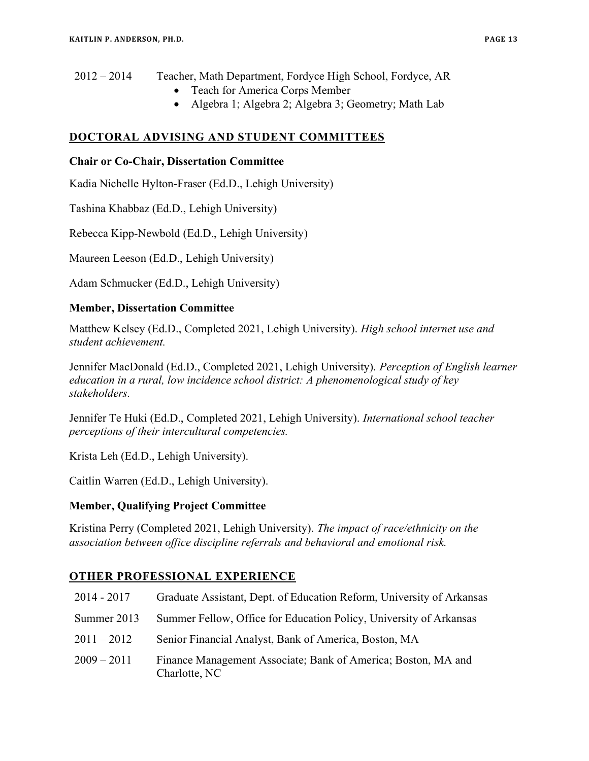# 2012 – 2014 Teacher, Math Department, Fordyce High School, Fordyce, AR

- Teach for America Corps Member
- Algebra 1; Algebra 2; Algebra 3; Geometry; Math Lab

## DOCTORAL ADVISING AND STUDENT COMMITTEES

#### Chair or Co-Chair, Dissertation Committee

Kadia Nichelle Hylton-Fraser (Ed.D., Lehigh University)

Tashina Khabbaz (Ed.D., Lehigh University)

Rebecca Kipp-Newbold (Ed.D., Lehigh University)

Maureen Leeson (Ed.D., Lehigh University)

Adam Schmucker (Ed.D., Lehigh University)

## Member, Dissertation Committee

Matthew Kelsey (Ed.D., Completed 2021, Lehigh University). High school internet use and student achievement.

Jennifer MacDonald (Ed.D., Completed 2021, Lehigh University). Perception of English learner education in a rural, low incidence school district: A phenomenological study of key stakeholders.

Jennifer Te Huki (Ed.D., Completed 2021, Lehigh University). International school teacher perceptions of their intercultural competencies.

Krista Leh (Ed.D., Lehigh University).

Caitlin Warren (Ed.D., Lehigh University).

#### Member, Qualifying Project Committee

Kristina Perry (Completed 2021, Lehigh University). The impact of race/ethnicity on the association between office discipline referrals and behavioral and emotional risk.

## OTHER PROFESSIONAL EXPERIENCE

| $2014 - 2017$ | Graduate Assistant, Dept. of Education Reform, University of Arkansas          |
|---------------|--------------------------------------------------------------------------------|
| Summer 2013   | Summer Fellow, Office for Education Policy, University of Arkansas             |
| $2011 - 2012$ | Senior Financial Analyst, Bank of America, Boston, MA                          |
| $2009 - 2011$ | Finance Management Associate; Bank of America; Boston, MA and<br>Charlotte, NC |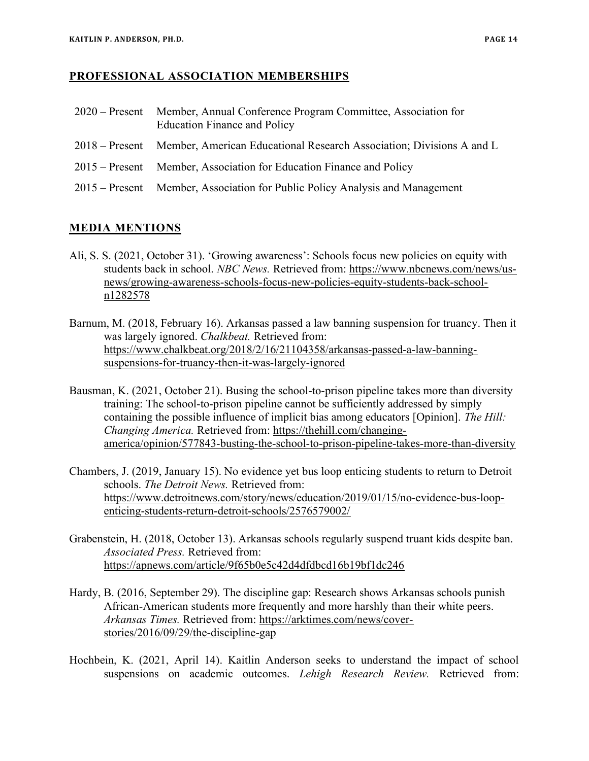#### PROFESSIONAL ASSOCIATION MEMBERSHIPS

| 2020 – Present Member, Annual Conference Program Committee, Association for<br><b>Education Finance and Policy</b> |
|--------------------------------------------------------------------------------------------------------------------|
| 2018 – Present Member, American Educational Research Association; Divisions A and L                                |
| 2015 – Present Member, Association for Education Finance and Policy                                                |
| 2015 – Present Member, Association for Public Policy Analysis and Management                                       |

## MEDIA MENTIONS

- Ali, S. S. (2021, October 31). 'Growing awareness': Schools focus new policies on equity with students back in school. NBC News. Retrieved from: https://www.nbcnews.com/news/usnews/growing-awareness-schools-focus-new-policies-equity-students-back-schooln1282578
- Barnum, M. (2018, February 16). Arkansas passed a law banning suspension for truancy. Then it was largely ignored. Chalkbeat. Retrieved from: https://www.chalkbeat.org/2018/2/16/21104358/arkansas-passed-a-law-banningsuspensions-for-truancy-then-it-was-largely-ignored
- Bausman, K. (2021, October 21). Busing the school-to-prison pipeline takes more than diversity training: The school-to-prison pipeline cannot be sufficiently addressed by simply containing the possible influence of implicit bias among educators [Opinion]. The Hill: Changing America. Retrieved from: https://thehill.com/changingamerica/opinion/577843-busting-the-school-to-prison-pipeline-takes-more-than-diversity
- Chambers, J. (2019, January 15). No evidence yet bus loop enticing students to return to Detroit schools. The Detroit News. Retrieved from: https://www.detroitnews.com/story/news/education/2019/01/15/no-evidence-bus-loopenticing-students-return-detroit-schools/2576579002/
- Grabenstein, H. (2018, October 13). Arkansas schools regularly suspend truant kids despite ban. Associated Press. Retrieved from: https://apnews.com/article/9f65b0e5c42d4dfdbcd16b19bf1dc246
- Hardy, B. (2016, September 29). The discipline gap: Research shows Arkansas schools punish African-American students more frequently and more harshly than their white peers. Arkansas Times. Retrieved from: https://arktimes.com/news/coverstories/2016/09/29/the-discipline-gap
- Hochbein, K. (2021, April 14). Kaitlin Anderson seeks to understand the impact of school suspensions on academic outcomes. *Lehigh Research Review*. Retrieved from: